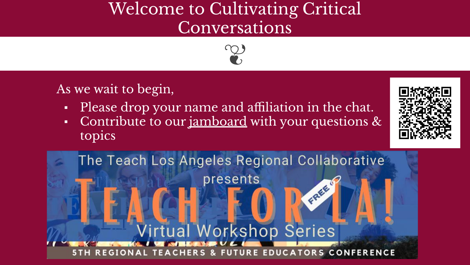## Welcome to Cultivating Critical Conversations



As we wait to begin,

- Please drop your name and affiliation in the chat.
- Contribute to our <u>[jamboard](https://tinyurl.com/teachla21)</u> with your questions  $\&$ topics



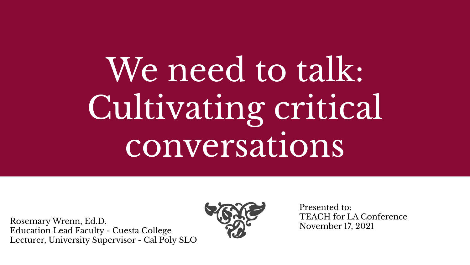We need to talk: Cultivating critical conversations

Rosemary Wrenn, Ed.D. Education Lead Faculty - Cuesta College Lecturer, University Supervisor - Cal Poly SLO



Presented to: TEACH for LA Conference November 17, 2021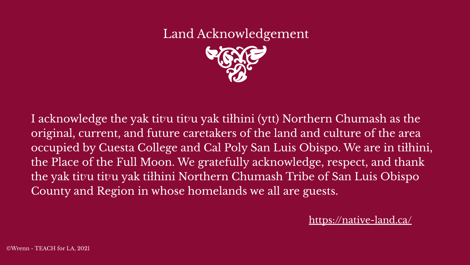# Land Acknowledgement

I acknowledge the yak tit<sup>r</sup>u tit<sup>r</sup>u yak tiłhini (ytt) Northern Chumash as the original, current, and future caretakers of the land and culture of the area occupied by Cuesta College and Cal Poly San Luis Obispo. We are in tiłhini, the Place of the Full Moon. We gratefully acknowledge, respect, and thank the yak tit<sup>y</sup>u tityu yak tiłhini Northern Chumash Tribe of San Luis Obispo County and Region in whose homelands we all are guests.

<https://native-land.ca/>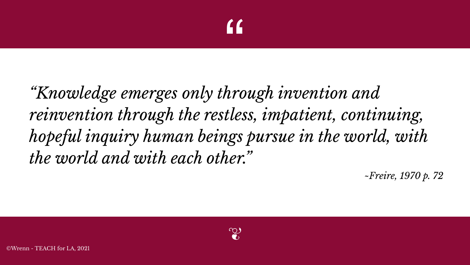# "<br>"<br>"

*"Knowledge emerges only through invention and reinvention through the restless, impatient, continuing, hopeful inquiry human beings pursue in the world, with the world and with each other."*

*~Freire, 1970 p. 72*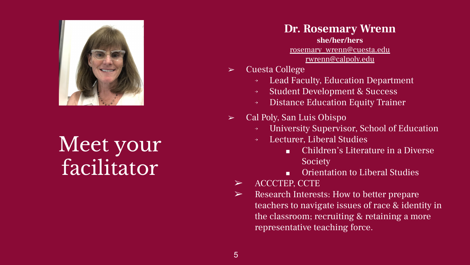

Meet your facilitator

**Dr. Rosemary Wrenn she/her/hers** [rosemary\\_wrenn@cuesta.edu](mailto:rosemary_wrenn@cuesta.edu) [rwrenn@calpoly.edu](mailto:rwrenn@calpoly.edu)

- ➢ Cuesta College
	- → Lead Faculty, Education Department
	- → Student Development & Success
	- → Distance Education Equity Trainer
- $\triangleright$  Cal Poly, San Luis Obispo
	- → University Supervisor, School of Education
	- Lecturer, Liberal Studies
		- Children's Literature in a Diverse Society
		- Orientation to Liberal Studies
	- ➢ ACCCTEP, CCTE
	- $\triangleright$  Research Interests: How to better prepare teachers to navigate issues of race & identity in the classroom; recruiting & retaining a more representative teaching force.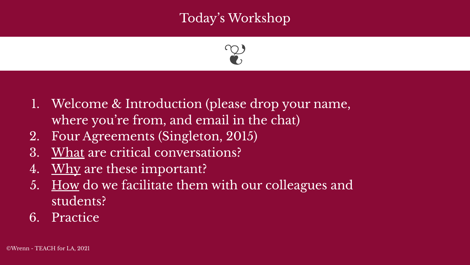### Today's Workshop



- 1. Welcome & Introduction (please drop your name, where you're from, and email in the chat)
- 2. Four Agreements (Singleton, 2015)
- 3. What are critical conversations?
- 4. Why are these important?
- 5. How do we facilitate them with our colleagues and students?
- 6. Practice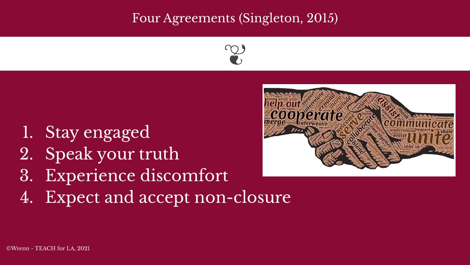#### Four Agreements (Singleton, 2015)



- 1. Stay engaged
- 2. Speak your truth
- 3. Experience discomfort
- 4. Expect and accept non-closure

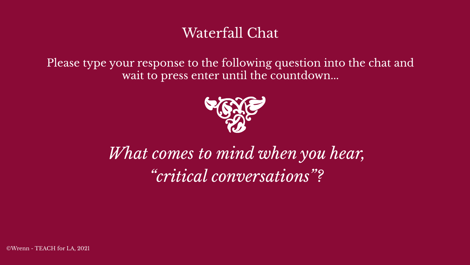## Waterfall Chat

Please type your response to the following question into the chat and wait to press enter until the countdown...



## *What comes to mind when you hear, "critical conversations"?*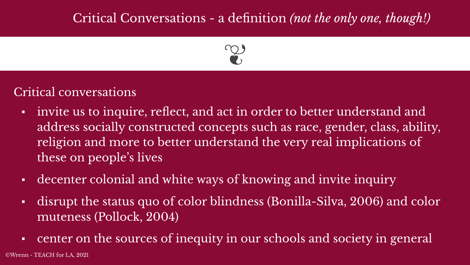### Critical Conversations - a definition *(not the only one, though!)*



#### Critical conversations

- invite us to inquire, reflect, and act in order to better understand and address socially constructed concepts such as race, gender, class, ability, religion and more to better understand the very real implications of these on people's lives
- decenter colonial and white ways of knowing and invite inquiry
- disrupt the status quo of color blindness (Bonilla-Silva, 2006) and color muteness (Pollock, 2004)
- center on the sources of inequity in our schools and society in general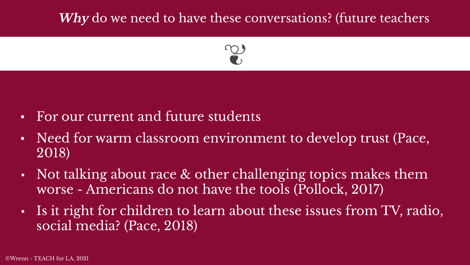#### **Why** do we need to have these conversations? (future teachers



- For our current and future students
- Need for warm classroom environment to develop trust (Pace, 2018)
- Not talking about race  $\&$  other challenging topics makes them worse - Americans do not have the tools (Pollock, 2017)
- Is it right for children to learn about these issues from TV, radio, social media? (Pace, 2018)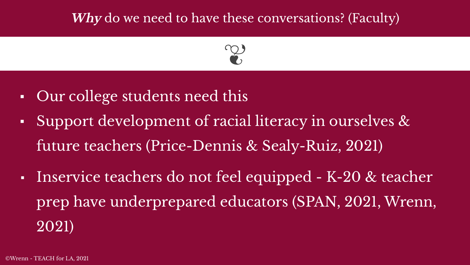#### **Why** do we need to have these conversations? (Faculty)



- Our college students need this
- Support development of racial literacy in ourselves & future teachers (Price-Dennis & Sealy-Ruiz, 2021)
- Inservice teachers do not feel equipped K-20 & teacher prep have underprepared educators (SPAN, 2021, Wrenn, 2021)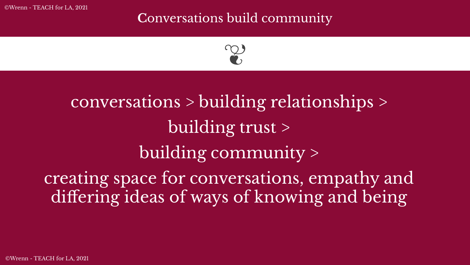©Wrenn - TEACH for LA, 2021

#### **C**onversations build community



# conversations > building relationships > building trust > building community > creating space for conversations, empathy and differing ideas of ways of knowing and being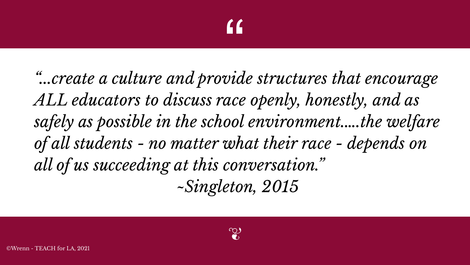# $\frac{1}{\sqrt{1-\frac{1}{2}}}$

*"...create a culture and provide structures that encourage ALL educators to discuss race openly, honestly, and as safely as possible in the school environment.….the welfare of all students - no matter what their race - depends on all of us succeeding at this conversation." ~Singleton, 2015*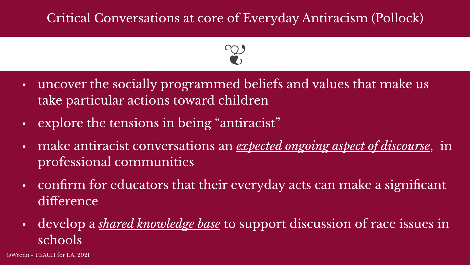#### Critical Conversations at core of Everyday Antiracism (Pollock)



- uncover the socially programmed beliefs and values that make us take particular actions toward children
- explore the tensions in being "antiracist"
- make antiracist conversations an *expected ongoing aspect of discourse*, in professional communities
- confirm for educators that their everyday acts can make a significant difference
- develop a *shared knowledge base* to support discussion of race issues in schools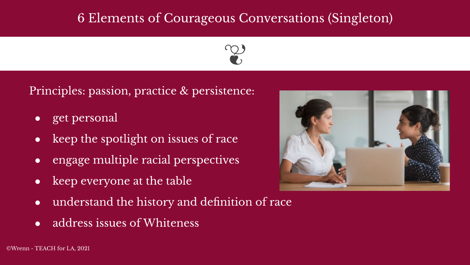#### 6 Elements of Courageous Conversations (Singleton)



Principles: passion, practice & persistence:

- get personal
- keep the spotlight on issues of race
- engage multiple racial perspectives
- keep everyone at the table
- understand the history and definition of race
- address issues of Whiteness



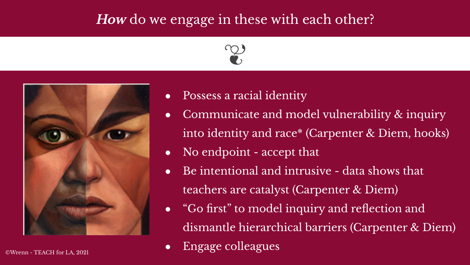#### **How** do we engage in these with each other?





- Possess a racial identity
- Communicate and model vulnerability  $\&$  inquiry into identity and race\* (Carpenter & Diem, hooks)
- No endpoint accept that
- $\bullet$  Be intentional and intrusive data shows that teachers are catalyst (Carpenter & Diem)
- "Go first" to model inquiry and reflection and dismantle hierarchical barriers (Carpenter & Diem)
- Engage colleagues ©Wrenn TEACH for LA, 2021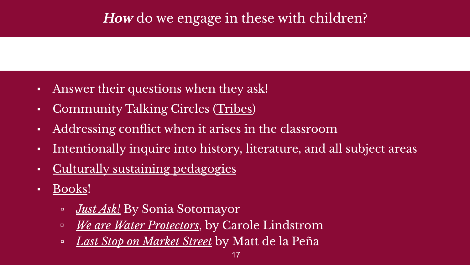## **How** do we engage in these with children?

- Answer their questions when they ask!
- Community Talking Circles [\(Tribes](https://tribes.com/))
- Addressing conflict when it arises in the classroom
- Intentionally inquire into history, literature, and all subject areas
- [Culturally sustaining pedagogies](https://www.goodreads.com/book/show/35656095-culturally-sustaining-pedagogies)
- <u>[Books](https://docs.google.com/document/d/1zjmm5ofuC527gCmYe_YSNehF7GRtY_58SmzInXv7Rak/edit?usp=sharing)</u>!
	- *[Just Ask!](https://youtu.be/q4sGcaA6bFk)* By Sonia Sotomayor
	- *[We are Water Protectors](https://youtu.be/N-zPU4iSpco)*, by Carole Lindstrom
	- *[Last Stop on Market Street](https://www.youtube.com/watch?v=QoPS0Ok5YiI)* by Matt de la Peña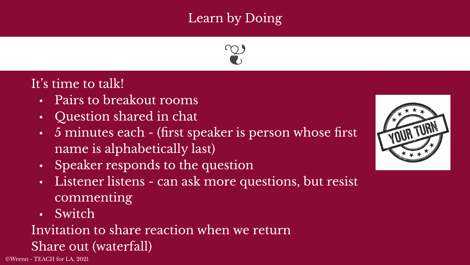## Learn by Doing



#### It's time to talk!

- Pairs to breakout rooms
- Question shared in chat
- 5 minutes each (first speaker is person whose first name is alphabetically last)
- Speaker responds to the question
- Listener listens can ask more questions, but resist commenting
- Switch

## Invitation to share reaction when we return Share out (waterfall)

©Wrenn - TEACH for LA, 2021

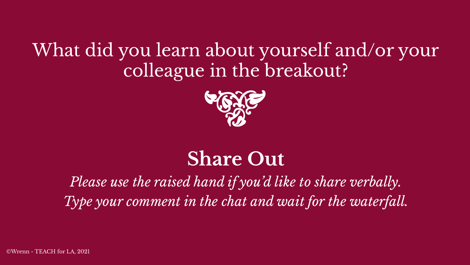## What did you learn about yourself and/or your colleague in the breakout?



## **Share Out**

## *Please use the raised hand if you'd like to share verbally. Type your comment in the chat and wait for the waterfall.*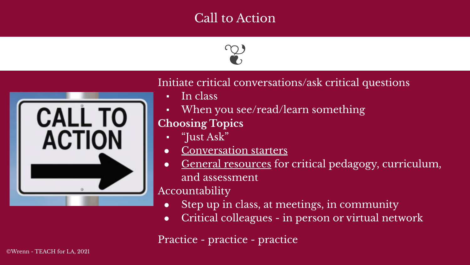#### Call to Action





#### Initiate critical conversations/ask critical questions

- In class
- When you see/read/learn something **Choosing Topics** 
	- "Just Ask"
	- [Conversation starters](https://docs.google.com/document/d/16zcCw6_psmfCs4pYEJyIFhfBcAGC9m_1ENKVXRSj2w0/edit?usp=sharing)
	- [General resources](https://docs.google.com/document/d/1Iy9REx2KiruFkuK-EaWjXUMY61hd9SrFOHvjp_iaaKc/edit?usp=sharing) for critical pedagogy, curriculum, and assessment

#### Accountability

- Step up in class, at meetings, in community
- Critical colleagues in person or virtual network

Practice - practice - practice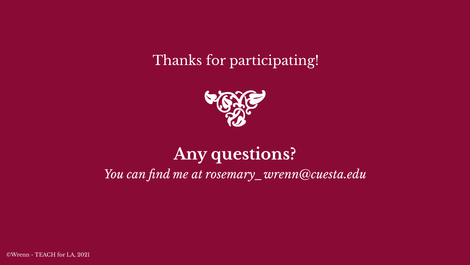Thanks for participating!



## **Any questions?** *You can find me at rosemary\_wrenn@cuesta.edu*

©Wrenn - TEACH for LA, 2021